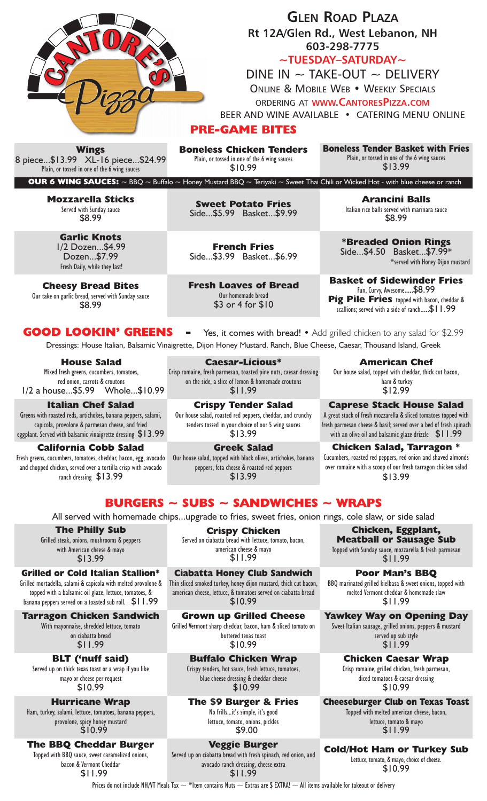

**~TUESDAY–SATURDAY~**

DINE IN  $\sim$  TAKE-OUT  $\sim$  DELIVERY ONLINE & MOBILE WEB • WEEKLY SPECIALS

ORDERING AT **WWW.CANTORESPIZZA.COM**

BEER AND WINE AVAILABLE • CATERING MENU ONLINE

# **PRE-GAME BITES**

**Boneless Chicken Tenders** Plain, or tossed in one of the 6 wing sauces \$10.99

**Boneless Tender Basket with Fries** Plain, or tossed in one of the 6 wing sauces \$13.99

**OUR 6 WING SAUCES:**  $\sim$  BBQ  $\sim$  Buffalo  $\sim$  Honey Mustard BBQ  $\sim$  Teriyaki  $\sim$  Sweet Thai Chili or Wicked Hot - with blue cheese or ranch

**Mozzarella Sticks** Served with Sunday sauce \$8.99

> **Garlic Knots** 1/2 Dozen...\$4.99 Dozen...\$7.99 Fresh Daily, while they last!

**Cheesy Bread Bites** Our take on garlic bread, served with Sunday sauce \$8.99

**Sweet Potato Fries** Side...\$5.99 Basket...\$9.99

**French Fries** Side...\$3.99 Basket...\$6.99

**Fresh Loaves of Bread** Our homemade bread \$3 or 4 for \$10

**Arancini Balls** Italian rice balls served with marinara sauce \$8.99

**\*Breaded Onion Rings** Side...\$4.50 Basket...\$7.99\* \*served with Honey Dijon mustard

**Basket of Sidewinder Fries** Fun, Curvy, Awesome.....\$8.99 **Pig Pile Fries** topped with bacon, cheddar & scallions; served with a side of ranch.....\$11.99

**GOOD LOOKIN' GREENS** - Yes, it comes with bread! • Add grilled chicken to any salad for \$2.99 Dressings: House Italian, Balsamic Vinaigrette, Dijon Honey Mustard, Ranch, Blue Cheese, Caesar, Thousand Island, Greek

**House Salad** Mixed fresh greens, cucumbers, tomatoes, red onion, carrots & croutons  $1/2$  a house...\$5.99

**Italian Chef Salad** Greens with roasted reds, artichokes, banana peppers, salami, capicola, provolone & parmesan cheese, and fried eggplant. Served with balsamic vinaigrette dressing \$13.99

**California Cobb Salad** Fresh greens, cucumbers, tomatoes, cheddar, bacon, egg, avocado and chopped chicken, served over a tortilla crisp with avocado ranch dressing \$13.99

**Caesar-Licious\*** Crisp romaine, fresh parmesan, toasted pine nuts, caesar dressing on the side, a slice of lemon & homemade croutons \$11.99

**Crispy Tender Salad** Our house salad, roasted red peppers, cheddar, and crunchy tenders tossed in your choice of our 5 wing sauces \$13.99

**Greek Salad** Our house salad, topped with black olives, artichokes, banana peppers, feta cheese & roasted red peppers \$13.99

**American Chef** Our house salad, topped with cheddar, thick cut bacon,

 ham & turkey \$12.99

**Caprese Stack House Salad** A great stack of fresh mozzarella & sliced tomatoes topped with fresh parmesan cheese & basil; served over a bed of fresh spinach with an olive oil and balsamic glaze drizzle\$11.99

**Chicken Salad, Tarragon \*** Cucumbers, roasted red peppers, red onion and shaved almonds over romaine with a scoop of our fresh tarragon chicken salad \$13.99

# **BURGERS ~ SUBS ~ SANDWICHES ~ WRAPS**

All served with homemade chips...upgrade to fries, sweet fries, onion rings, cole slaw, or side salad

**The Philly Sub** Grilled steak, onions, mushrooms & peppers with American cheese & mayo \$13.99

## **Grilled or Cold Italian Stallion\***

Grilled mortadella, salami & capicola with melted provolone & topped with a balsamic oil glaze, lettuce, tomatoes, & banana peppers served on a toasted sub roll. \$11.99

### **Tarragon Chicken Sandwich**

With mayonnaise, shredded lettuce, tomato on ciabatta bread \$11.99

**BLT ('nuff said)** Served up on thick texas toast or a wrap if you like mayo or cheese per request \$10.99

**Hurricane Wrap** Ham, turkey, salami, lettuce, tomatoes, banana peppers, provolone, spicy honey mustard \$10.99

**The BBQ Cheddar Burger** Topped with BBQ sauce, sweet caramelized onions, bacon & Vermont Cheddar \$11.99

**Crispy Chicken** Served on ciabatta bread with lettuce, tomato, bacon, american cheese & mayo \$11.99

**Ciabatta Honey Club Sandwich** Thin sliced smoked turkey, honey dijon mustard, thick cut bacon, american cheese, lettuce, & tomatoes served on ciabatta bread \$10.99

**Grown up Grilled Cheese** Grilled Vermont sharp cheddar, bacon, ham & sliced tomato on buttered texas toast \$10.99

**Buffalo Chicken Wrap** Crispy tenders, hot sauce, fresh lettuce, tomatoes, blue cheese dressing & cheddar cheese \$10.99

**The \$9 Burger & Fries** No frills...it's simple, it's good lettuce, tomato, onions, pickles \$9.00

**Veggie Burger** Served up on ciabatta bread with fresh spinach, red onion, and avocado ranch dressing, cheese extra

\$11.99 Prices do not include NH/VT Meals Tax  $\sim$  \*Item contains Nuts  $\sim$  Extras are \$ EXTRA!  $\sim$  All items available for takeout or delivery

**Chicken, Eggplant, Meatball or Sausage Sub** Topped with Sunday sauce, mozzarella & fresh parmesan

\$11.99 **Poor Man's BBQ**

BBQ marinated grilled kielbasa & sweet onions, topped with melted Vermont cheddar & homemade slaw \$11.99

**Yawkey Way on Opening Day** Sweet Italian sausage, grilled onions, peppers & mustard served up sub style \$11.99

> **Chicken Caesar Wrap** Crisp romaine, grilled chicken, fresh parmesan, diced tomatoes & caesar dressing \$10.99

**Cheeseburger Club on Texas Toast** Topped with melted american cheese, bacon,

lettuce, tomato & mayo<br>\$11.99

**Cold/Hot Ham or Turkey Sub** Lettuce, tomato, & mayo, choice of cheese.

\$10.99

**Wings** 8 piece...\$13.99 XL-16 piece...\$24.99 Plain, or tossed in one of the 6 wing sauces